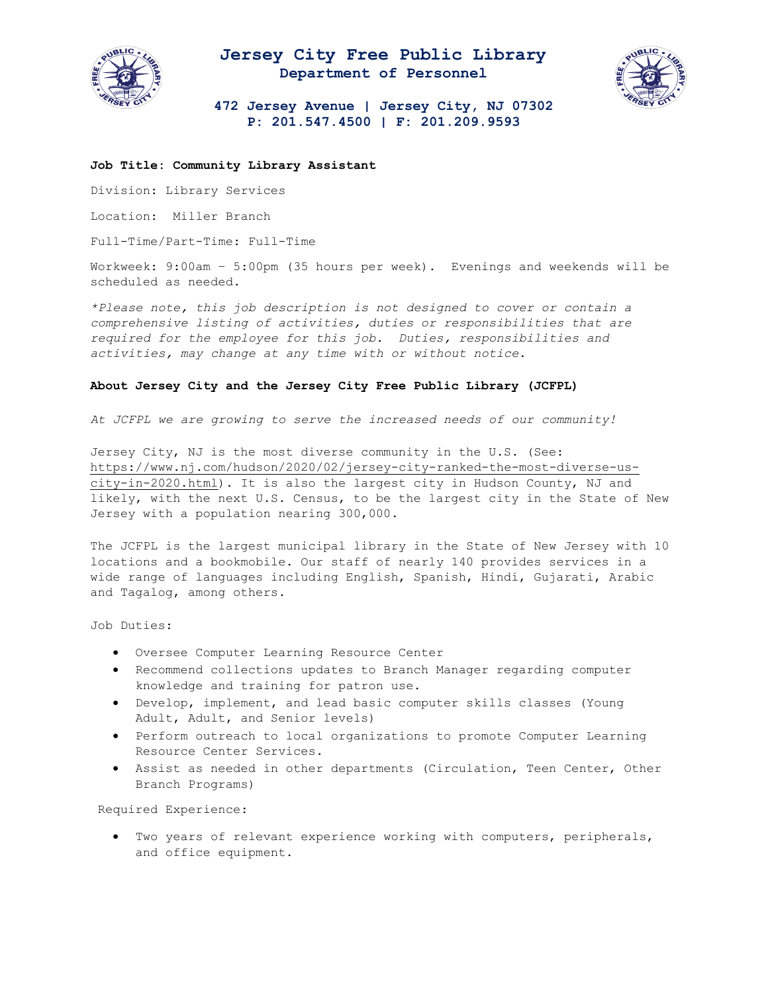

## **Jersey City Free Public Library Department of Personnel**



**472 Jersey Avenue | Jersey City, NJ 07302 P: 201.547.4500 | F: 201.209.9593**

## **Job Title: Community Library Assistant**

Division: Library Services

Location: Miller Branch

Full-Time/Part-Time: Full-Time

Workweek: 9:00am – 5:00pm (35 hours per week). Evenings and weekends will be scheduled as needed.

*\*Please note, this job description is not designed to cover or contain a comprehensive listing of activities, duties or responsibilities that are required for the employee for this job. Duties, responsibilities and activities, may change at any time with or without notice.* 

## **About Jersey City and the Jersey City Free Public Library (JCFPL)**

*At JCFPL we are growing to serve the increased needs of our community!*

Jersey City, NJ is the most diverse community in the U.S. (See: [https://www.nj.com/hudson/2020/02/jersey-city-ranked-the-most-diverse-us](https://www.nj.com/hudson/2020/02/jersey-city-ranked-the-most-diverse-us-city-in-2020.html)[city-in-2020.html\)](https://www.nj.com/hudson/2020/02/jersey-city-ranked-the-most-diverse-us-city-in-2020.html). It is also the largest city in Hudson County, NJ and likely, with the next U.S. Census, to be the largest city in the State of New Jersey with a population nearing 300,000.

The JCFPL is the largest municipal library in the State of New Jersey with 10 locations and a bookmobile. Our staff of nearly 140 provides services in a wide range of languages including English, Spanish, Hindi, Gujarati, Arabic and Tagalog, among others.

Job Duties:

- Oversee Computer Learning Resource Center
- Recommend collections updates to Branch Manager regarding computer knowledge and training for patron use.
- Develop, implement, and lead basic computer skills classes (Young Adult, Adult, and Senior levels)
- Perform outreach to local organizations to promote Computer Learning Resource Center Services.
- Assist as needed in other departments (Circulation, Teen Center, Other Branch Programs)

Required Experience:

• Two years of relevant experience working with computers, peripherals, and office equipment.